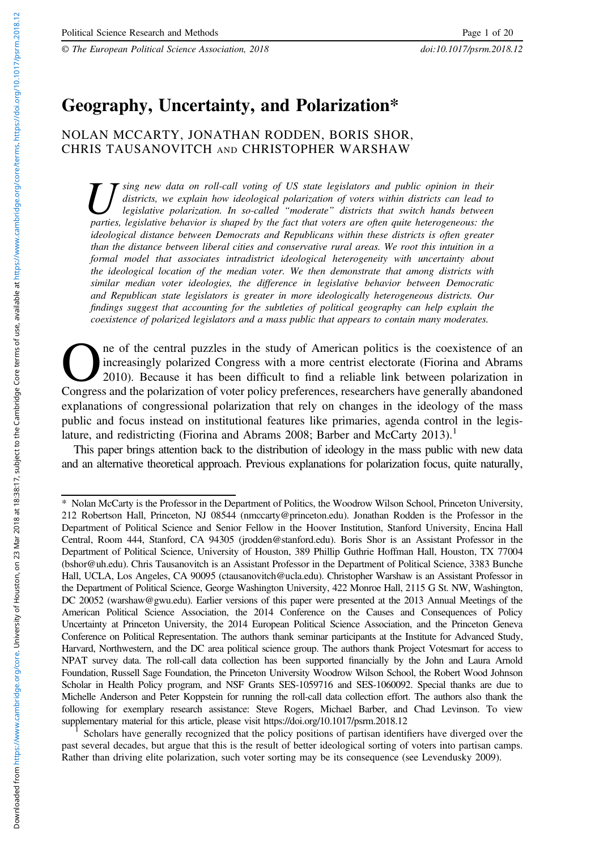© The European Political Science Association, 2018 doi:10.1017/psrm.2018.12

# Geography, Uncertainty, and Polarization\*

## NOLAN MCCARTY, JONATHAN RODDEN, BORIS SHOR, CHRIS TAUSANOVITCH AND CHRISTOPHER WARSHAW

sing new data on roll-call voting of US state legislators and public opinion in their districts, we explain how ideological polarization of voters within districts can lead to legislative polarization. In so-called "moderate" districts that switch hands between parties, legislative behavior is shaped by the fact that voters are often quite heterogeneous: the ideological distance between Democrats and Republicans within these districts is often greater than the distance between liberal cities and conservative rural areas. We root this intuition in a formal model that associates intradistrict ideological heterogeneity with uncertainty about the ideological location of the median voter. We then demonstrate that among districts with similar median voter ideologies, the difference in legislative behavior between Democratic and Republican state legislators is greater in more ideologically heterogeneous districts. Our findings suggest that accounting for the subtleties of political geography can help explain the coexistence of polarized legislators and a mass public that appears to contain many moderates.

ne of the central puzzles in the study of American politics is the coexistence of an increasingly polarized Congress with a more centrist electorate (Fiorina and Abrams 2010). Because it has been difficult to find a reliable link between polarization in Congress and the polarization of voter policy preferences, researchers have generally abandoned explanations of congressional polarization that rely on changes in the ideology of the mass public and focus instead on institutional features like primaries, agenda control in the legis-lature, and redistricting (Fiorina and Abrams [2008;](#page-17-0) Barber and McCarty [2013\)](#page-17-0).<sup>1</sup>

This paper brings attention back to the distribution of ideology in the mass public with new data and an alternative theoretical approach. Previous explanations for polarization focus, quite naturally,

<sup>\*</sup> Nolan McCarty is the Professor in the Department of Politics, the Woodrow Wilson School, Princeton University, 212 Robertson Hall, Princeton, NJ 08544 ([nmccarty@princeton.edu\)](mailto:nmccarty@princeton.edu)). Jonathan Rodden is the Professor in the Department of Political Science and Senior Fellow in the Hoover Institution, Stanford University, Encina Hall Central, Room 444, Stanford, CA 94305 [\(jrodden@stanford.edu\).](mailto:jrodden@stanford.edu)) Boris Shor is an Assistant Professor in the Department of Political Science, University of Houston, 389 Phillip Guthrie Hoffman Hall, Houston, TX 77004 [\(bshor@uh.edu\).](mailto:bshor@uh.edu)) Chris Tausanovitch is an Assistant Professor in the Department of Political Science, 3383 Bunche Hall, UCLA, Los Angeles, CA 90095 ([ctausanovitch@ucla.edu\).](mailto:ctausanovitch@ucla.edu)) Christopher Warshaw is an Assistant Professor in the Department of Political Science, George Washington University, 422 Monroe Hall, 2115 G St. NW, Washington, DC 20052 [\(warshaw@gwu.edu](mailto:warshaw@gwu.edu)). Earlier versions of this paper were presented at the 2013 Annual Meetings of the American Political Science Association, the 2014 Conference on the Causes and Consequences of Policy Uncertainty at Princeton University, the 2014 European Political Science Association, and the Princeton Geneva Conference on Political Representation. The authors thank seminar participants at the Institute for Advanced Study, Harvard, Northwestern, and the DC area political science group. The authors thank Project Votesmart for access to NPAT survey data. The roll-call data collection has been supported financially by the John and Laura Arnold Foundation, Russell Sage Foundation, the Princeton University Woodrow Wilson School, the Robert Wood Johnson Scholar in Health Policy program, and NSF Grants SES-1059716 and SES-1060092. Special thanks are due to Michelle Anderson and Peter Koppstein for running the roll-call data collection effort. The authors also thank the following for exemplary research assistance: Steve Rogers, Michael Barber, and Chad Levinson. To view supplementary material for this article, please visit https://doi.org/10.1017/psrm.2018.12

Scholars have generally recognized that the policy positions of partisan identifiers have diverged over the past several decades, but argue that this is the result of better ideological sorting of voters into partisan camps. Rather than driving elite polarization, such voter sorting may be its consequence (see Levendusky [2009](#page-18-0)).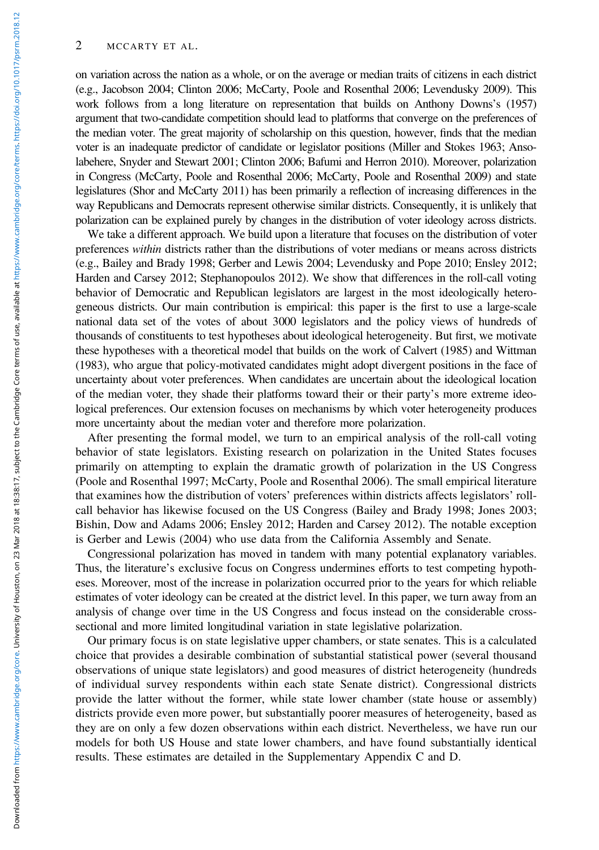on variation across the nation as a whole, or on the average or median traits of citizens in each district (e.g., Jacobson [2004;](#page-18-0) Clinton [2006;](#page-17-0) McCarty, Poole and Rosenthal [2006;](#page-18-0) Levendusky [2009\)](#page-18-0). This work follows from a long literature on representation that builds on Anthony Downs's [\(1957\)](#page-17-0) argument that two-candidate competition should lead to platforms that converge on the preferences of the median voter. The great majority of scholarship on this question, however, finds that the median voter is an inadequate predictor of candidate or legislator positions (Miller and Stokes [1963](#page-18-0); Ansolabehere, Snyder and Stewart [2001;](#page-17-0) Clinton [2006](#page-17-0); Bafumi and Herron [2010](#page-17-0)). Moreover, polarization in Congress (McCarty, Poole and Rosenthal [2006;](#page-18-0) McCarty, Poole and Rosenthal [2009](#page-18-0)) and state legislatures (Shor and McCarty [2011\)](#page-19-0) has been primarily a reflection of increasing differences in the way Republicans and Democrats represent otherwise similar districts. Consequently, it is unlikely that polarization can be explained purely by changes in the distribution of voter ideology across districts.

We take a different approach. We build upon a literature that focuses on the distribution of voter preferences within districts rather than the distributions of voter medians or means across districts (e.g., Bailey and Brady [1998;](#page-17-0) Gerber and Lewis [2004;](#page-18-0) Levendusky and Pope [2010;](#page-18-0) Ensley [2012](#page-17-0); Harden and Carsey [2012](#page-18-0); Stephanopoulos [2012\)](#page-19-0). We show that differences in the roll-call voting behavior of Democratic and Republican legislators are largest in the most ideologically heterogeneous districts. Our main contribution is empirical: this paper is the first to use a large-scale national data set of the votes of about 3000 legislators and the policy views of hundreds of thousands of constituents to test hypotheses about ideological heterogeneity. But first, we motivate these hypotheses with a theoretical model that builds on the work of Calvert [\(1985\)](#page-17-0) and Wittman [\(1983\)](#page-19-0), who argue that policy-motivated candidates might adopt divergent positions in the face of uncertainty about voter preferences. When candidates are uncertain about the ideological location of the median voter, they shade their platforms toward their or their party's more extreme ideological preferences. Our extension focuses on mechanisms by which voter heterogeneity produces more uncertainty about the median voter and therefore more polarization.

After presenting the formal model, we turn to an empirical analysis of the roll-call voting behavior of state legislators. Existing research on polarization in the United States focuses primarily on attempting to explain the dramatic growth of polarization in the US Congress (Poole and Rosenthal [1997](#page-18-0); McCarty, Poole and Rosenthal [2006\)](#page-18-0). The small empirical literature that examines how the distribution of voters' preferences within districts affects legislators' rollcall behavior has likewise focused on the US Congress (Bailey and Brady [1998;](#page-17-0) Jones [2003](#page-18-0); Bishin, Dow and Adams [2006;](#page-17-0) Ensley [2012](#page-17-0); Harden and Carsey [2012\)](#page-18-0). The notable exception is Gerber and Lewis [\(2004](#page-18-0)) who use data from the California Assembly and Senate.

Congressional polarization has moved in tandem with many potential explanatory variables. Thus, the literature's exclusive focus on Congress undermines efforts to test competing hypotheses. Moreover, most of the increase in polarization occurred prior to the years for which reliable estimates of voter ideology can be created at the district level. In this paper, we turn away from an analysis of change over time in the US Congress and focus instead on the considerable crosssectional and more limited longitudinal variation in state legislative polarization.

Our primary focus is on state legislative upper chambers, or state senates. This is a calculated choice that provides a desirable combination of substantial statistical power (several thousand observations of unique state legislators) and good measures of district heterogeneity (hundreds of individual survey respondents within each state Senate district). Congressional districts provide the latter without the former, while state lower chamber (state house or assembly) districts provide even more power, but substantially poorer measures of heterogeneity, based as they are on only a few dozen observations within each district. Nevertheless, we have run our models for both US House and state lower chambers, and have found substantially identical results. These estimates are detailed in the Supplementary Appendix C and D.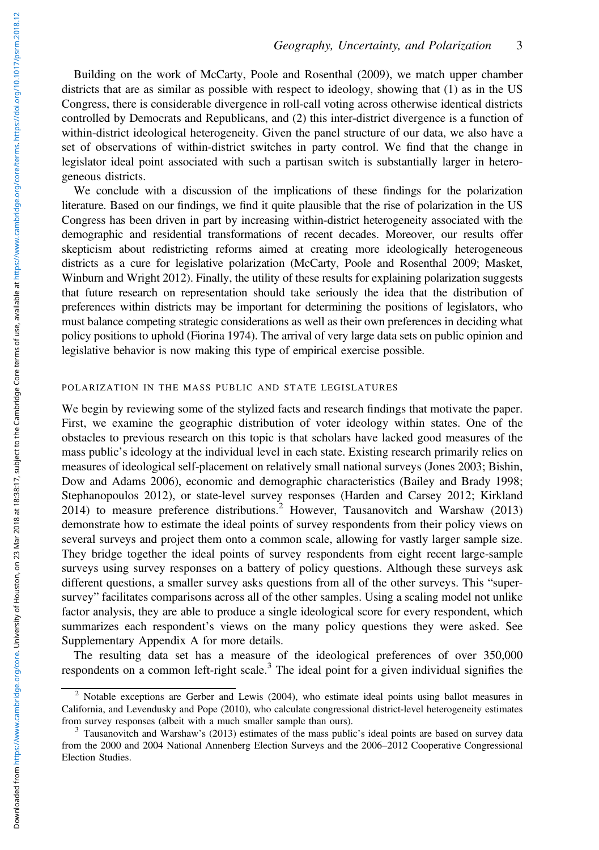Building on the work of McCarty, Poole and Rosenthal ([2009\)](#page-18-0), we match upper chamber districts that are as similar as possible with respect to ideology, showing that (1) as in the US Congress, there is considerable divergence in roll-call voting across otherwise identical districts controlled by Democrats and Republicans, and (2) this inter-district divergence is a function of within-district ideological heterogeneity. Given the panel structure of our data, we also have a set of observations of within-district switches in party control. We find that the change in legislator ideal point associated with such a partisan switch is substantially larger in heterogeneous districts.

We conclude with a discussion of the implications of these findings for the polarization literature. Based on our findings, we find it quite plausible that the rise of polarization in the US Congress has been driven in part by increasing within-district heterogeneity associated with the demographic and residential transformations of recent decades. Moreover, our results offer skepticism about redistricting reforms aimed at creating more ideologically heterogeneous districts as a cure for legislative polarization (McCarty, Poole and Rosenthal [2009](#page-18-0); Masket, Winburn and Wright [2012\)](#page-18-0). Finally, the utility of these results for explaining polarization suggests that future research on representation should take seriously the idea that the distribution of preferences within districts may be important for determining the positions of legislators, who must balance competing strategic considerations as well as their own preferences in deciding what policy positions to uphold (Fiorina [1974\)](#page-17-0). The arrival of very large data sets on public opinion and legislative behavior is now making this type of empirical exercise possible.

### POLARIZATION IN THE MASS PUBLIC AND STATE LEGISLATURES

We begin by reviewing some of the stylized facts and research findings that motivate the paper. First, we examine the geographic distribution of voter ideology within states. One of the obstacles to previous research on this topic is that scholars have lacked good measures of the mass public's ideology at the individual level in each state. Existing research primarily relies on measures of ideological self-placement on relatively small national surveys (Jones [2003](#page-18-0); Bishin, Dow and Adams [2006\)](#page-17-0), economic and demographic characteristics (Bailey and Brady [1998;](#page-17-0) Stephanopoulos [2012\)](#page-19-0), or state-level survey responses (Harden and Carsey [2012](#page-18-0); Kirkland [2014\)](#page-18-0) to measure preference distributions.<sup>2</sup> However, Tausanovitch and Warshaw [\(2013](#page-19-0)) demonstrate how to estimate the ideal points of survey respondents from their policy views on several surveys and project them onto a common scale, allowing for vastly larger sample size. They bridge together the ideal points of survey respondents from eight recent large-sample surveys using survey responses on a battery of policy questions. Although these surveys ask different questions, a smaller survey asks questions from all of the other surveys. This "supersurvey" facilitates comparisons across all of the other samples. Using a scaling model not unlike factor analysis, they are able to produce a single ideological score for every respondent, which summarizes each respondent's views on the many policy questions they were asked. See Supplementary Appendix A for more details.

The resulting data set has a measure of the ideological preferences of over 350,000 respondents on a common left-right scale.<sup>3</sup> The ideal point for a given individual signifies the

<sup>&</sup>lt;sup>2</sup> Notable exceptions are Gerber and Lewis ([2004](#page-18-0)), who estimate ideal points using ballot measures in California, and Levendusky and Pope ([2010\)](#page-18-0), who calculate congressional district-level heterogeneity estimates

 $3$  Tausanovitch and Warshaw's [\(2013\)](#page-19-0) estimates of the mass public's ideal points are based on survey data from the 2000 and 2004 National Annenberg Election Surveys and the 2006–2012 Cooperative Congressional Election Studies.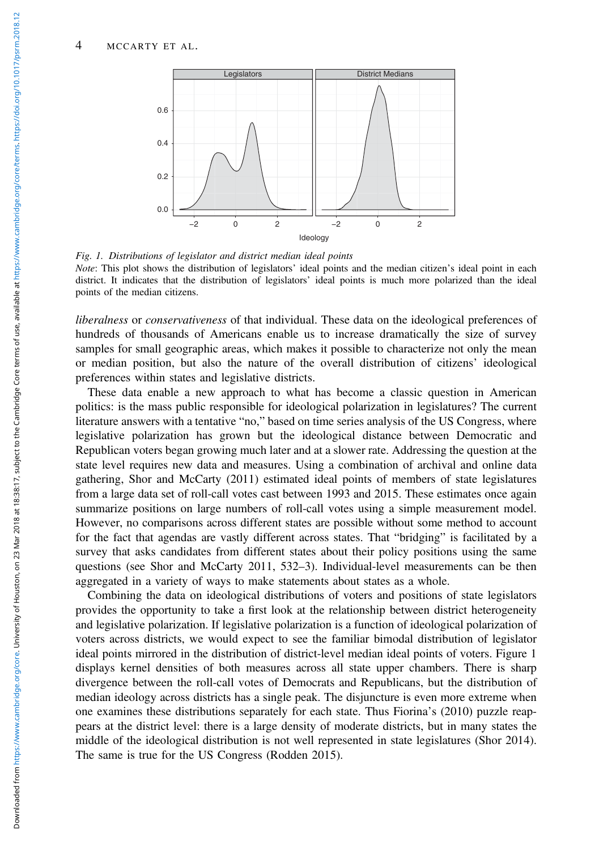

Fig. 1. Distributions of legislator and district median ideal points

Note: This plot shows the distribution of legislators' ideal points and the median citizen's ideal point in each district. It indicates that the distribution of legislators' ideal points is much more polarized than the ideal points of the median citizens.

liberalness or conservativeness of that individual. These data on the ideological preferences of hundreds of thousands of Americans enable us to increase dramatically the size of survey samples for small geographic areas, which makes it possible to characterize not only the mean or median position, but also the nature of the overall distribution of citizens' ideological preferences within states and legislative districts.

These data enable a new approach to what has become a classic question in American politics: is the mass public responsible for ideological polarization in legislatures? The current literature answers with a tentative "no," based on time series analysis of the US Congress, where legislative polarization has grown but the ideological distance between Democratic and Republican voters began growing much later and at a slower rate. Addressing the question at the state level requires new data and measures. Using a combination of archival and online data gathering, Shor and McCarty ([2011\)](#page-19-0) estimated ideal points of members of state legislatures from a large data set of roll-call votes cast between 1993 and 2015. These estimates once again summarize positions on large numbers of roll-call votes using a simple measurement model. However, no comparisons across different states are possible without some method to account for the fact that agendas are vastly different across states. That "bridging" is facilitated by a survey that asks candidates from different states about their policy positions using the same questions (see Shor and McCarty [2011](#page-19-0), 532–3). Individual-level measurements can be then aggregated in a variety of ways to make statements about states as a whole.

Combining the data on ideological distributions of voters and positions of state legislators provides the opportunity to take a first look at the relationship between district heterogeneity and legislative polarization. If legislative polarization is a function of ideological polarization of voters across districts, we would expect to see the familiar bimodal distribution of legislator ideal points mirrored in the distribution of district-level median ideal points of voters. Figure 1 displays kernel densities of both measures across all state upper chambers. There is sharp divergence between the roll-call votes of Democrats and Republicans, but the distribution of median ideology across districts has a single peak. The disjuncture is even more extreme when one examines these distributions separately for each state. Thus Fiorina's [\(2010](#page-18-0)) puzzle reappears at the district level: there is a large density of moderate districts, but in many states the middle of the ideological distribution is not well represented in state legislatures (Shor [2014](#page-18-0)). The same is true for the US Congress (Rodden [2015\)](#page-18-0).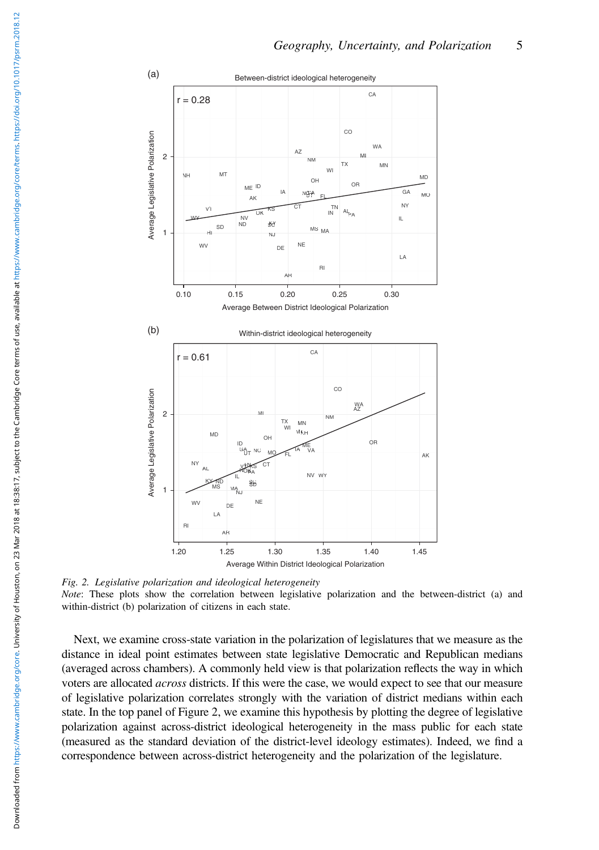<span id="page-4-0"></span>

Fig. 2. Legislative polarization and ideological heterogeneity

Note: These plots show the correlation between legislative polarization and the between-district (a) and within-district (b) polarization of citizens in each state.

Next, we examine cross-state variation in the polarization of legislatures that we measure as the distance in ideal point estimates between state legislative Democratic and Republican medians (averaged across chambers). A commonly held view is that polarization reflects the way in which voters are allocated across districts. If this were the case, we would expect to see that our measure of legislative polarization correlates strongly with the variation of district medians within each state. In the top panel of Figure 2, we examine this hypothesis by plotting the degree of legislative polarization against across-district ideological heterogeneity in the mass public for each state (measured as the standard deviation of the district-level ideology estimates). Indeed, we find a correspondence between across-district heterogeneity and the polarization of the legislature.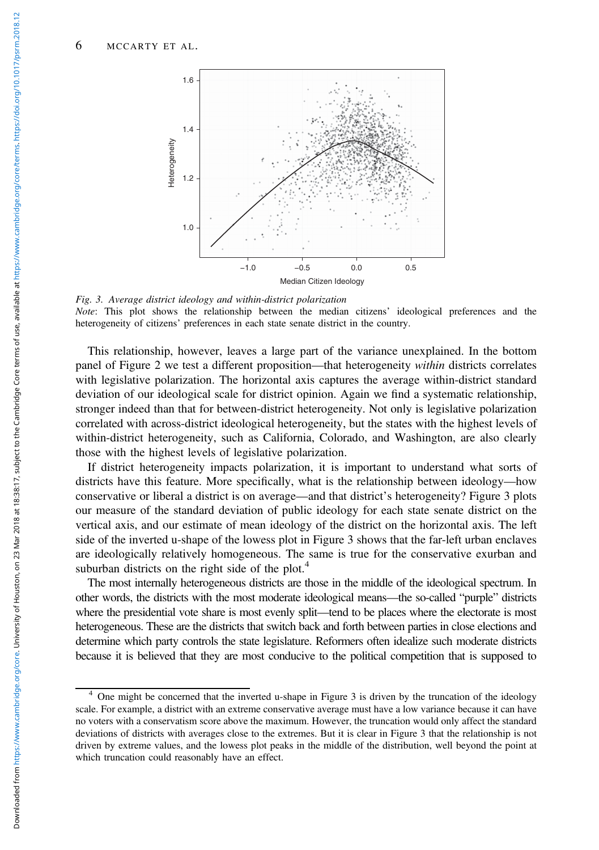<span id="page-5-0"></span>

Fig. 3. Average district ideology and within-district polarization Note: This plot shows the relationship between the median citizens' ideological preferences and the heterogeneity of citizens' preferences in each state senate district in the country.

This relationship, however, leaves a large part of the variance unexplained. In the bottom panel of [Figure 2](#page-4-0) we test a different proposition—that heterogeneity within districts correlates with legislative polarization. The horizontal axis captures the average within-district standard deviation of our ideological scale for district opinion. Again we find a systematic relationship, stronger indeed than that for between-district heterogeneity. Not only is legislative polarization correlated with across-district ideological heterogeneity, but the states with the highest levels of within-district heterogeneity, such as California, Colorado, and Washington, are also clearly those with the highest levels of legislative polarization.

If district heterogeneity impacts polarization, it is important to understand what sorts of districts have this feature. More specifically, what is the relationship between ideology—how conservative or liberal a district is on average—and that district's heterogeneity? Figure 3 plots our measure of the standard deviation of public ideology for each state senate district on the vertical axis, and our estimate of mean ideology of the district on the horizontal axis. The left side of the inverted u-shape of the lowess plot in Figure 3 shows that the far-left urban enclaves are ideologically relatively homogeneous. The same is true for the conservative exurban and suburban districts on the right side of the plot.<sup>4</sup>

The most internally heterogeneous districts are those in the middle of the ideological spectrum. In other words, the districts with the most moderate ideological means—the so-called "purple" districts where the presidential vote share is most evenly split—tend to be places where the electorate is most heterogeneous. These are the districts that switch back and forth between parties in close elections and determine which party controls the state legislature. Reformers often idealize such moderate districts because it is believed that they are most conducive to the political competition that is supposed to

<sup>&</sup>lt;sup>4</sup> One might be concerned that the inverted u-shape in Figure 3 is driven by the truncation of the ideology scale. For example, a district with an extreme conservative average must have a low variance because it can have no voters with a conservatism score above the maximum. However, the truncation would only affect the standard deviations of districts with averages close to the extremes. But it is clear in Figure 3 that the relationship is not driven by extreme values, and the lowess plot peaks in the middle of the distribution, well beyond the point at which truncation could reasonably have an effect.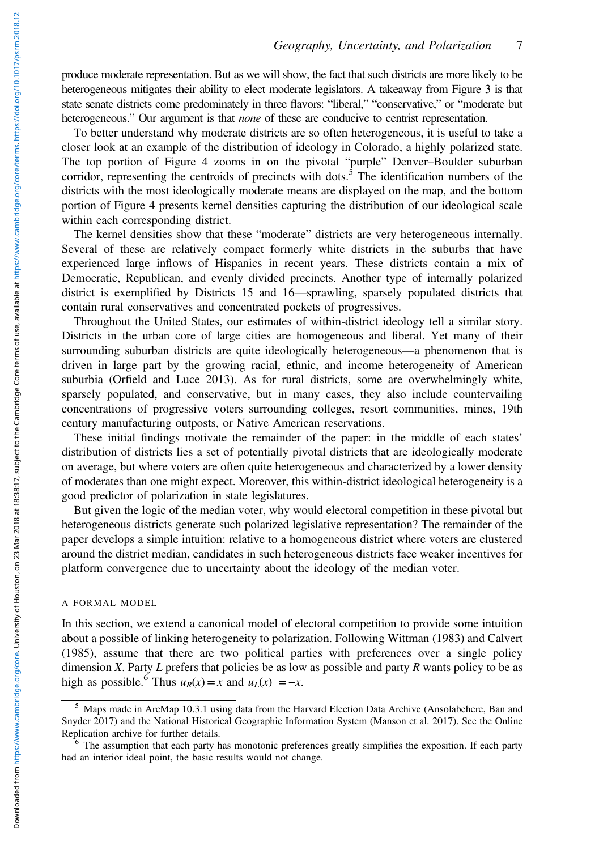produce moderate representation. But as we will show, the fact that such districts are more likely to be heterogeneous mitigates their ability to elect moderate legislators. A takeaway from [Figure 3](#page-5-0) is that state senate districts come predominately in three flavors: "liberal," "conservative," or "moderate but heterogeneous." Our argument is that *none* of these are conducive to centrist representation.

To better understand why moderate districts are so often heterogeneous, it is useful to take a closer look at an example of the distribution of ideology in Colorado, a highly polarized state. The top portion of [Figure 4](#page-7-0) zooms in on the pivotal "purple" Denver–Boulder suburban corridor, representing the centroids of precincts with dots.<sup>5</sup> The identification numbers of the districts with the most ideologically moderate means are displayed on the map, and the bottom portion of [Figure 4](#page-7-0) presents kernel densities capturing the distribution of our ideological scale within each corresponding district.

The kernel densities show that these "moderate" districts are very heterogeneous internally. Several of these are relatively compact formerly white districts in the suburbs that have experienced large inflows of Hispanics in recent years. These districts contain a mix of Democratic, Republican, and evenly divided precincts. Another type of internally polarized district is exemplified by Districts 15 and 16—sprawling, sparsely populated districts that contain rural conservatives and concentrated pockets of progressives.

Throughout the United States, our estimates of within-district ideology tell a similar story. Districts in the urban core of large cities are homogeneous and liberal. Yet many of their surrounding suburban districts are quite ideologically heterogeneous—a phenomenon that is driven in large part by the growing racial, ethnic, and income heterogeneity of American suburbia (Orfield and Luce [2013\)](#page-18-0). As for rural districts, some are overwhelmingly white, sparsely populated, and conservative, but in many cases, they also include countervailing concentrations of progressive voters surrounding colleges, resort communities, mines, 19th century manufacturing outposts, or Native American reservations.

These initial findings motivate the remainder of the paper: in the middle of each states' distribution of districts lies a set of potentially pivotal districts that are ideologically moderate on average, but where voters are often quite heterogeneous and characterized by a lower density of moderates than one might expect. Moreover, this within-district ideological heterogeneity is a good predictor of polarization in state legislatures.

But given the logic of the median voter, why would electoral competition in these pivotal but heterogeneous districts generate such polarized legislative representation? The remainder of the paper develops a simple intuition: relative to a homogeneous district where voters are clustered around the district median, candidates in such heterogeneous districts face weaker incentives for platform convergence due to uncertainty about the ideology of the median voter.

## A FORMAL MODEL

In this section, we extend a canonical model of electoral competition to provide some intuition about a possible of linking heterogeneity to polarization. Following Wittman [\(1983](#page-19-0)) and Calvert [\(1985\)](#page-17-0), assume that there are two political parties with preferences over a single policy dimension X. Party  $L$  prefers that policies be as low as possible and party  $R$  wants policy to be as high as possible.<sup>6</sup> Thus  $u_R(x) = x$  and  $u_I(x) = -x$ .

<sup>5</sup> Maps made in ArcMap 10.3.1 using data from the Harvard Election Data Archive (Ansolabehere, Ban and Snyder [2017](#page-17-0)) and the National Historical Geographic Information System (Manson et al. [2017](#page-18-0)). See the Online

The assumption that each party has monotonic preferences greatly simplifies the exposition. If each party had an interior ideal point, the basic results would not change.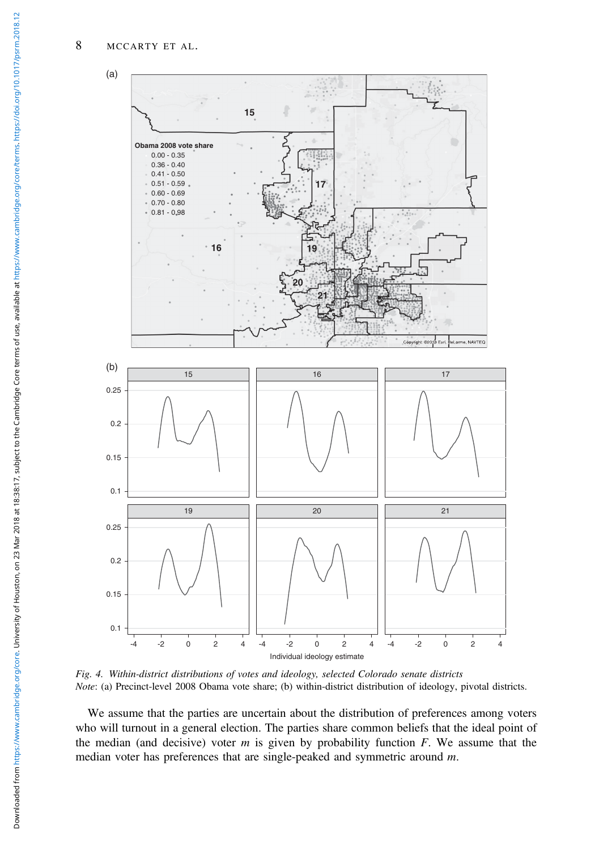<span id="page-7-0"></span>



Fig. 4. Within-district distributions of votes and ideology, selected Colorado senate districts Note: (a) Precinct-level 2008 Obama vote share; (b) within-district distribution of ideology, pivotal districts.

We assume that the parties are uncertain about the distribution of preferences among voters who will turnout in a general election. The parties share common beliefs that the ideal point of the median (and decisive) voter  $m$  is given by probability function  $F$ . We assume that the median voter has preferences that are single-peaked and symmetric around m.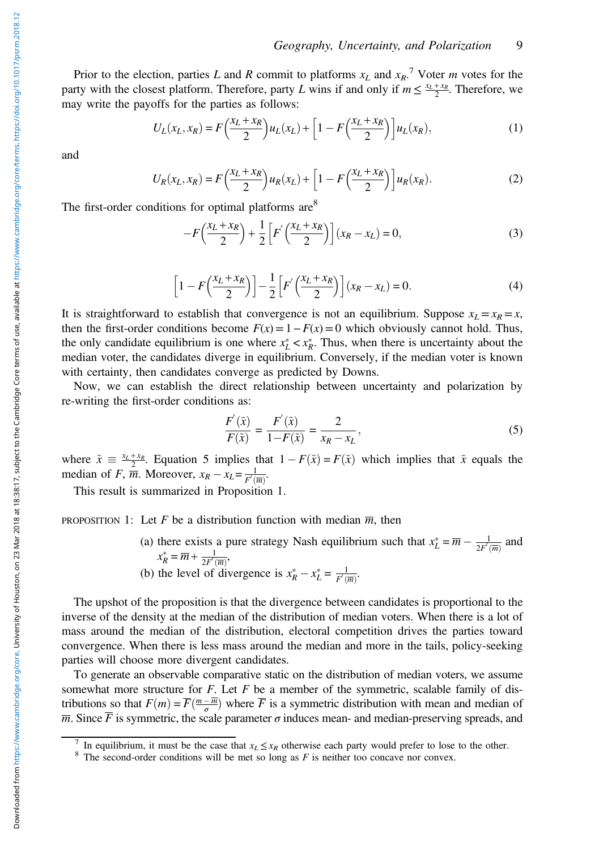Prior to the election, parties L and R commit to platforms  $x_L$  and  $x_R$ .<sup>7</sup> Voter m votes for the party with the closest platform. Therefore, party L wins if and only if  $m \leq \frac{x_L + x_R}{2}$ . Therefore, we may write the payoffs for the parties as follows:

$$
U_L(x_L, x_R) = F\left(\frac{x_L + x_R}{2}\right)u_L(x_L) + \left[1 - F\left(\frac{x_L + x_R}{2}\right)\right]u_L(x_R),\tag{1}
$$

and

$$
U_R(x_L, x_R) = F\left(\frac{x_L + x_R}{2}\right)u_R(x_L) + \left[1 - F\left(\frac{x_L + x_R}{2}\right)\right]u_R(x_R). \tag{2}
$$

The first-order conditions for optimal platforms are  $8$ 

$$
-F\left(\frac{x_L + x_R}{2}\right) + \frac{1}{2}\left[F'\left(\frac{x_L + x_R}{2}\right)\right](x_R - x_L) = 0,\tag{3}
$$

$$
\[1 - F\left(\frac{x_L + x_R}{2}\right)\] - \frac{1}{2} \left[ F'\left(\frac{x_L + x_R}{2}\right) \right] (x_R - x_L) = 0. \tag{4}
$$

It is straightforward to establish that convergence is not an equilibrium. Suppose  $x_L = x_R = x$ , then the first-order conditions become  $F(x) = 1 - F(x) = 0$  which obviously cannot hold. Thus, the only candidate equilibrium is one where  $x_L^* < x_R^*$ . Thus, when there is uncertainty about the median voter, the candidates diverge in equilibrium. Conversely, if the median voter is known with certainty, then candidates converge as predicted by Downs.

Now, we can establish the direct relationship between uncertainty and polarization by re-writing the first-order conditions as:

$$
\frac{F'(\tilde{x})}{F(\tilde{x})} = \frac{F'(\tilde{x})}{1 - F(\tilde{x})} = \frac{2}{x_R - x_L},
$$
\n<sup>(5)</sup>

where  $\tilde{x} = \frac{x_L + x_R}{2}$ . Equation 5 implies that  $1 - F(\tilde{x}) = F(\tilde{x})$  which implies that  $\tilde{x}$  equals the median of F,  $\overline{m}$ . Moreover,  $x_R - x_L = \frac{1}{F'(\overline{m})}$ .

This result is summarized in Proposition 1.

PROPOSITION 1: Let F be a distribution function with median  $\overline{m}$ , then

- (a) there exists a pure strategy Nash equilibrium such that  $x_L^* = \overline{m} \frac{1}{2F(\overline{m})}$  and  $x_R^* = \overline{m} + \frac{1}{2F(\overline{m})}$ ,
- (b) the level of divergence is  $x_R^* x_L^* = \frac{1}{F(\overline{m})}$ .

The upshot of the proposition is that the divergence between candidates is proportional to the inverse of the density at the median of the distribution of median voters. When there is a lot of mass around the median of the distribution, electoral competition drives the parties toward convergence. When there is less mass around the median and more in the tails, policy-seeking parties will choose more divergent candidates.

To generate an observable comparative static on the distribution of median voters, we assume somewhat more structure for  $F$ . Let  $F$  be a member of the symmetric, scalable family of distributions so that  $F(m) = \overline{F(\frac{m - \overline{m}}{\sigma})}$  where  $\overline{F}$  is a symmetric distribution with mean and median of  $\overline{m}$ . Since  $\overline{F}$  is symmetric, the scale parameter  $\sigma$  induces mean- and median-preserving spreads, and

<sup>&</sup>lt;sup>7</sup> In equilibrium, it must be the case that  $x_L \le x_R$  otherwise each party would prefer to lose to the other. <sup>8</sup> The second-order conditions will be met so long as F is neither too concave nor convex.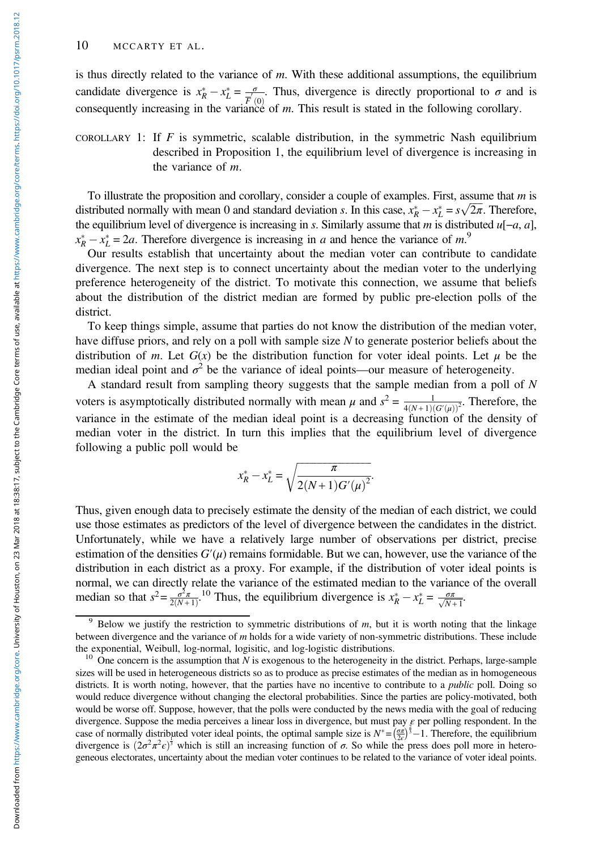is thus directly related to the variance of  $m$ . With these additional assumptions, the equilibrium candidate divergence is  $x_R^* - x_L^* = \frac{\sigma}{F(0)}$ . Thus, divergence is directly proportional to  $\sigma$  and is consequently increasing in the variance of m. This result is stated in the following corollary.

## COROLLARY 1: If  $F$  is symmetric, scalable distribution, in the symmetric Nash equilibrium described in Proposition 1, the equilibrium level of divergence is increasing in the variance of m.

To illustrate the proposition and corollary, consider a couple of examples. First, assume that  $m$  is distributed normally with mean 0 and standard deviation s. In this case,  $x_R^* - x_L^* = s\sqrt{2\pi}$ . Therefore, the equilibrium level of divergence is increasing in s. Similarly assume that m is distributed  $u[-a, a]$ ,  $x_R^* - x_L^* = 2a$ . Therefore divergence is increasing in a and hence the variance of m.<sup>9</sup>

Our results establish that uncertainty about the median voter can contribute to candidate divergence. The next step is to connect uncertainty about the median voter to the underlying preference heterogeneity of the district. To motivate this connection, we assume that beliefs about the distribution of the district median are formed by public pre-election polls of the district.

To keep things simple, assume that parties do not know the distribution of the median voter, have diffuse priors, and rely on a poll with sample size N to generate posterior beliefs about the distribution of m. Let  $G(x)$  be the distribution function for voter ideal points. Let  $\mu$  be the median ideal point and  $\sigma^2$  be the variance of ideal points—our measure of heterogeneity.

A standard result from sampling theory suggests that the sample median from a poll of  $N$ voters is asymptotically distributed normally with mean  $\mu$  and  $s^2 = \frac{1}{4(N+1)(G'(\mu))^2}$ . Therefore, the variance in the estimate of the median ideal point is a decreasing function of the density of median voter in the district. In turn this implies that the equilibrium level of divergence following a public poll would be

$$
x_R^* - x_L^* = \sqrt{\frac{\pi}{2(N+1)G'(\mu)^2}}.
$$

Thus, given enough data to precisely estimate the density of the median of each district, we could use those estimates as predictors of the level of divergence between the candidates in the district. Unfortunately, while we have a relatively large number of observations per district, precise estimation of the densities  $G'(\mu)$  remains formidable. But we can, however, use the variance of the distribution in each district as a proxy. For example, if the distribution of voter ideal points is normal, we can directly relate the variance of the estimated median to the variance of the overall median so that  $s^2 = \frac{\sigma^2 \pi}{2(N+1)}$ .<sup>10</sup> Thus, the equilibrium divergence is  $x_R^* - x_L^* = \frac{\sigma \pi}{\sqrt{N+1}}$ .

<sup>&</sup>lt;sup>9</sup> Below we justify the restriction to symmetric distributions of  $m$ , but it is worth noting that the linkage between divergence and the variance of m holds for a wide variety of non-symmetric distributions. These include the exponential, Weibull, log-normal, logisitic, and log-logistic distributions.  $10$  One concern is the assumption that N is exogenous to the heterogeneity in the district. Perhaps, large-sample

sizes will be used in heterogeneous districts so as to produce as precise estimates of the median as in homogeneous districts. It is worth noting, however, that the parties have no incentive to contribute to a *public* poll. Doing so would reduce divergence without changing the electoral probabilities. Since the parties are policy-motivated, both would be worse off. Suppose, however, that the polls were conducted by the news media with the goal of reducing divergence. Suppose the media perceives a linear loss in divergence, but must pay  $\varepsilon$  per polling respondent. In the case of normally distributed voter ideal points, the optimal sample size is  $N^* = \left(\frac{\sigma \pi}{2\epsilon}\right)^{\frac{2}{3}} - 1$ . Therefore, the equilibrium divergence is  $(2\sigma^2 \pi^2 \epsilon)^{\frac{1}{3}}$  which is still an increasing function of  $\sigma$ . So while the press does poll more in heterogeneous electorates, uncertainty about the median voter continues to be related to the variance of voter ideal points.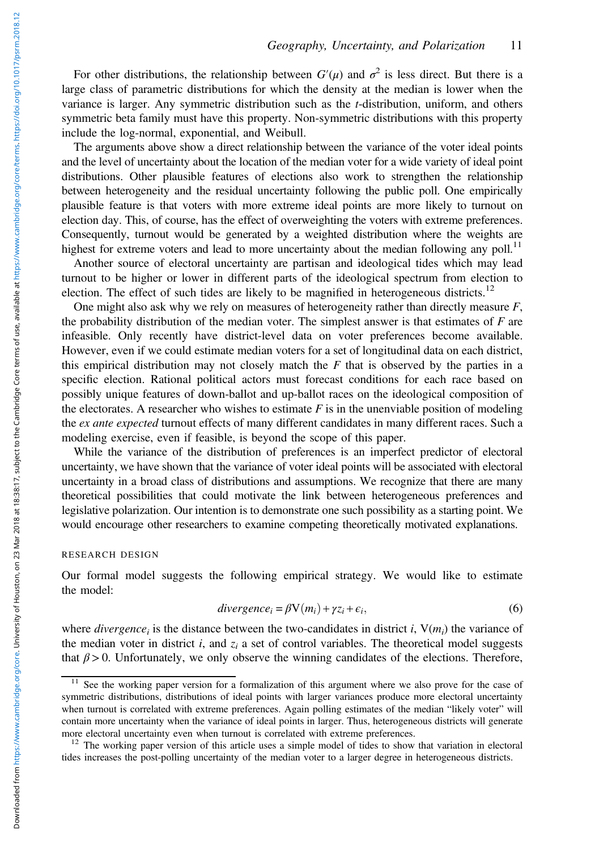For other distributions, the relationship between  $G'(\mu)$  and  $\sigma^2$  is less direct. But there is a large class of parametric distributions for which the density at the median is lower when the variance is larger. Any symmetric distribution such as the t-distribution, uniform, and others symmetric beta family must have this property. Non-symmetric distributions with this property include the log-normal, exponential, and Weibull.

The arguments above show a direct relationship between the variance of the voter ideal points and the level of uncertainty about the location of the median voter for a wide variety of ideal point distributions. Other plausible features of elections also work to strengthen the relationship between heterogeneity and the residual uncertainty following the public poll. One empirically plausible feature is that voters with more extreme ideal points are more likely to turnout on election day. This, of course, has the effect of overweighting the voters with extreme preferences. Consequently, turnout would be generated by a weighted distribution where the weights are highest for extreme voters and lead to more uncertainty about the median following any poll.<sup>11</sup>

Another source of electoral uncertainty are partisan and ideological tides which may lead turnout to be higher or lower in different parts of the ideological spectrum from election to election. The effect of such tides are likely to be magnified in heterogeneous districts.<sup>12</sup>

One might also ask why we rely on measures of heterogeneity rather than directly measure  $F$ , the probability distribution of the median voter. The simplest answer is that estimates of  $F$  are infeasible. Only recently have district-level data on voter preferences become available. However, even if we could estimate median voters for a set of longitudinal data on each district, this empirical distribution may not closely match the  $F$  that is observed by the parties in a specific election. Rational political actors must forecast conditions for each race based on possibly unique features of down-ballot and up-ballot races on the ideological composition of the electorates. A researcher who wishes to estimate  $F$  is in the unenviable position of modeling the ex ante expected turnout effects of many different candidates in many different races. Such a modeling exercise, even if feasible, is beyond the scope of this paper.

While the variance of the distribution of preferences is an imperfect predictor of electoral uncertainty, we have shown that the variance of voter ideal points will be associated with electoral uncertainty in a broad class of distributions and assumptions. We recognize that there are many theoretical possibilities that could motivate the link between heterogeneous preferences and legislative polarization. Our intention is to demonstrate one such possibility as a starting point. We would encourage other researchers to examine competing theoretically motivated explanations.

#### RESEARCH DESIGN

Our formal model suggests the following empirical strategy. We would like to estimate the model:

$$
divergence_i = \beta V(m_i) + \gamma z_i + \epsilon_i,
$$
\n(6)

where *divergence*; is the distance between the two-candidates in district i,  $V(m_i)$  the variance of the median voter in district i, and  $z_i$  a set of control variables. The theoretical model suggests that  $\beta$  > 0. Unfortunately, we only observe the winning candidates of the elections. Therefore,

<sup>&</sup>lt;sup>11</sup> See the working paper version for a formalization of this argument where we also prove for the case of symmetric distributions, distributions of ideal points with larger variances produce more electoral uncertainty when turnout is correlated with extreme preferences. Again polling estimates of the median "likely voter" will contain more uncertainty when the variance of ideal points in larger. Thus, heterogeneous districts will generate more electoral uncertainty even when turnout is correlated with extreme preferences.

 $12$  The working paper version of this article uses a simple model of tides to show that variation in electoral tides increases the post-polling uncertainty of the median voter to a larger degree in heterogeneous districts.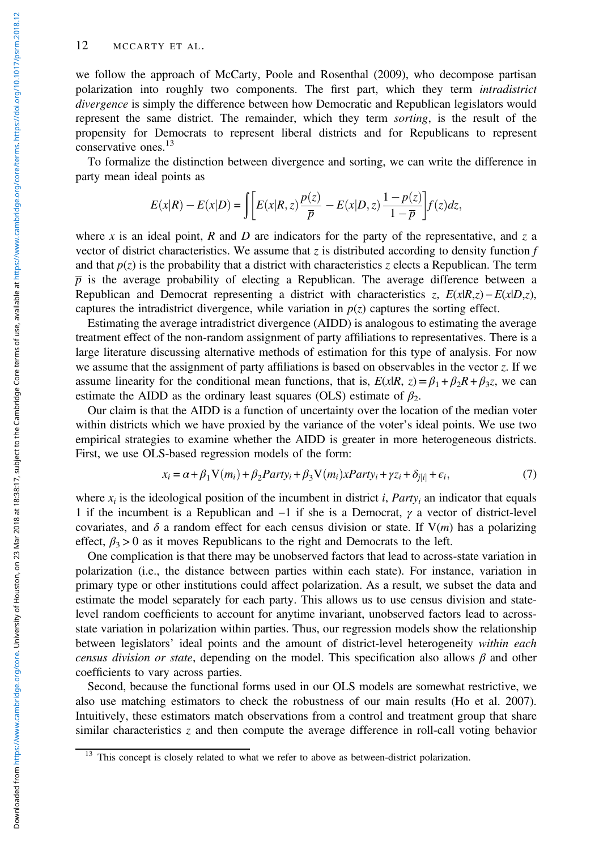we follow the approach of McCarty, Poole and Rosenthal ([2009\)](#page-18-0), who decompose partisan polarization into roughly two components. The first part, which they term *intradistrict* divergence is simply the difference between how Democratic and Republican legislators would represent the same district. The remainder, which they term sorting, is the result of the propensity for Democrats to represent liberal districts and for Republicans to represent conservative ones.<sup>13</sup>

To formalize the distinction between divergence and sorting, we can write the difference in party mean ideal points as

$$
E(x|R) - E(x|D) = \int \left[ E(x|R,z) \frac{p(z)}{\overline{p}} - E(x|D,z) \frac{1 - p(z)}{1 - \overline{p}} \right] f(z) dz,
$$

where x is an ideal point, R and D are indicators for the party of the representative, and z a vector of district characteristics. We assume that z is distributed according to density function  $f$ and that  $p(z)$  is the probability that a district with characteristics z elects a Republican. The term  $\bar{p}$  is the average probability of electing a Republican. The average difference between a Republican and Democrat representing a district with characteristics z,  $E(x|R,z) - E(x|D,z)$ , captures the intradistrict divergence, while variation in  $p(z)$  captures the sorting effect.

Estimating the average intradistrict divergence (AIDD) is analogous to estimating the average treatment effect of the non-random assignment of party affiliations to representatives. There is a large literature discussing alternative methods of estimation for this type of analysis. For now we assume that the assignment of party affiliations is based on observables in the vector  $z$ . If we assume linearity for the conditional mean functions, that is,  $E(x|R, z) = \beta_1 + \beta_2 R + \beta_3 z$ , we can estimate the AIDD as the ordinary least squares (OLS) estimate of  $\beta_2$ .

Our claim is that the AIDD is a function of uncertainty over the location of the median voter within districts which we have proxied by the variance of the voter's ideal points. We use two empirical strategies to examine whether the AIDD is greater in more heterogeneous districts. First, we use OLS-based regression models of the form:

$$
x_i = \alpha + \beta_1 V(m_i) + \beta_2 Party_i + \beta_3 V(m_i) x Party_i + \gamma z_i + \delta_{j[i]} + \epsilon_i,
$$
\n(7)

where  $x_i$  is the ideological position of the incumbent in district *i*, Party<sub>i</sub> an indicator that equals 1 if the incumbent is a Republican and −1 if she is a Democrat, γ a vector of district-level covariates, and  $\delta$  a random effect for each census division or state. If  $V(m)$  has a polarizing effect,  $\beta_3 > 0$  as it moves Republicans to the right and Democrats to the left.

One complication is that there may be unobserved factors that lead to across-state variation in polarization (i.e., the distance between parties within each state). For instance, variation in primary type or other institutions could affect polarization. As a result, we subset the data and estimate the model separately for each party. This allows us to use census division and statelevel random coefficients to account for anytime invariant, unobserved factors lead to acrossstate variation in polarization within parties. Thus, our regression models show the relationship between legislators' ideal points and the amount of district-level heterogeneity within each census division or state, depending on the model. This specification also allows  $\beta$  and other coefficients to vary across parties.

Second, because the functional forms used in our OLS models are somewhat restrictive, we also use matching estimators to check the robustness of our main results (Ho et al. [2007](#page-18-0)). Intuitively, these estimators match observations from a control and treatment group that share similar characteristics  $z$  and then compute the average difference in roll-call voting behavior

<sup>&</sup>lt;sup>13</sup> This concept is closely related to what we refer to above as between-district polarization.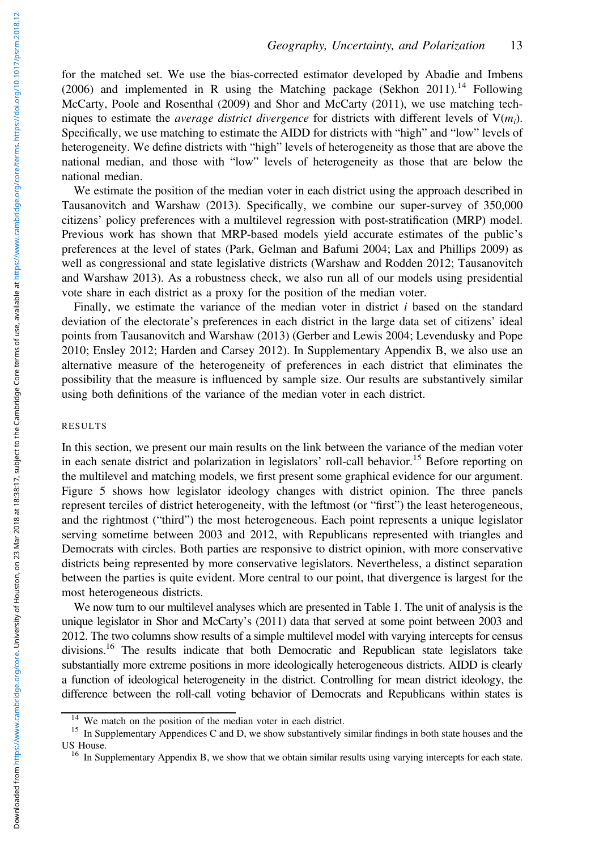for the matched set. We use the bias-corrected estimator developed by Abadie and Imbens [\(2006\)](#page-17-0) and implemented in R using the Matching package (Sekhon  $2011$ ).<sup>14</sup> Following McCarty, Poole and Rosenthal ([2009\)](#page-18-0) and Shor and McCarty [\(2011](#page-19-0)), we use matching techniques to estimate the *average district divergence* for districts with different levels of  $V(m_i)$ . Specifically, we use matching to estimate the AIDD for districts with "high" and "low" levels of heterogeneity. We define districts with "high" levels of heterogeneity as those that are above the national median, and those with "low" levels of heterogeneity as those that are below the national median.

We estimate the position of the median voter in each district using the approach described in Tausanovitch and Warshaw ([2013\)](#page-19-0). Specifically, we combine our super-survey of 350,000 citizens' policy preferences with a multilevel regression with post-stratification (MRP) model. Previous work has shown that MRP-based models yield accurate estimates of the public's preferences at the level of states (Park, Gelman and Bafumi [2004;](#page-18-0) Lax and Phillips [2009\)](#page-18-0) as well as congressional and state legislative districts (Warshaw and Rodden [2012](#page-19-0); Tausanovitch and Warshaw [2013](#page-19-0)). As a robustness check, we also run all of our models using presidential vote share in each district as a proxy for the position of the median voter.

Finally, we estimate the variance of the median voter in district *i* based on the standard deviation of the electorate's preferences in each district in the large data set of citizens' ideal points from Tausanovitch and Warshaw [\(2013](#page-19-0)) (Gerber and Lewis [2004;](#page-18-0) Levendusky and Pope [2010;](#page-18-0) Ensley [2012;](#page-17-0) Harden and Carsey [2012\)](#page-18-0). In Supplementary Appendix B, we also use an alternative measure of the heterogeneity of preferences in each district that eliminates the possibility that the measure is influenced by sample size. Our results are substantively similar using both definitions of the variance of the median voter in each district.

#### RESULTS

In this section, we present our main results on the link between the variance of the median voter in each senate district and polarization in legislators' roll-call behavior.<sup>15</sup> Before reporting on the multilevel and matching models, we first present some graphical evidence for our argument. [Figure 5](#page-13-0) shows how legislator ideology changes with district opinion. The three panels represent terciles of district heterogeneity, with the leftmost (or "first") the least heterogeneous, and the rightmost ("third") the most heterogeneous. Each point represents a unique legislator serving sometime between 2003 and 2012, with Republicans represented with triangles and Democrats with circles. Both parties are responsive to district opinion, with more conservative districts being represented by more conservative legislators. Nevertheless, a distinct separation between the parties is quite evident. More central to our point, that divergence is largest for the most heterogeneous districts.

We now turn to our multilevel analyses which are presented in [Table 1.](#page-13-0) The unit of analysis is the unique legislator in Shor and McCarty's ([2011\)](#page-19-0) data that served at some point between 2003 and 2012. The two columns show results of a simple multilevel model with varying intercepts for census divisions.<sup>16</sup> The results indicate that both Democratic and Republican state legislators take substantially more extreme positions in more ideologically heterogeneous districts. AIDD is clearly a function of ideological heterogeneity in the district. Controlling for mean district ideology, the difference between the roll-call voting behavior of Democrats and Republicans within states is

<sup>&</sup>lt;sup>14</sup> We match on the position of the median voter in each district.<br><sup>15</sup> In Supplementary Appendices C and D, we show substantively similar findings in both state houses and the US House.<br><sup>16</sup> In Supplementary Appendix B, we show that we obtain similar results using varying intercepts for each state.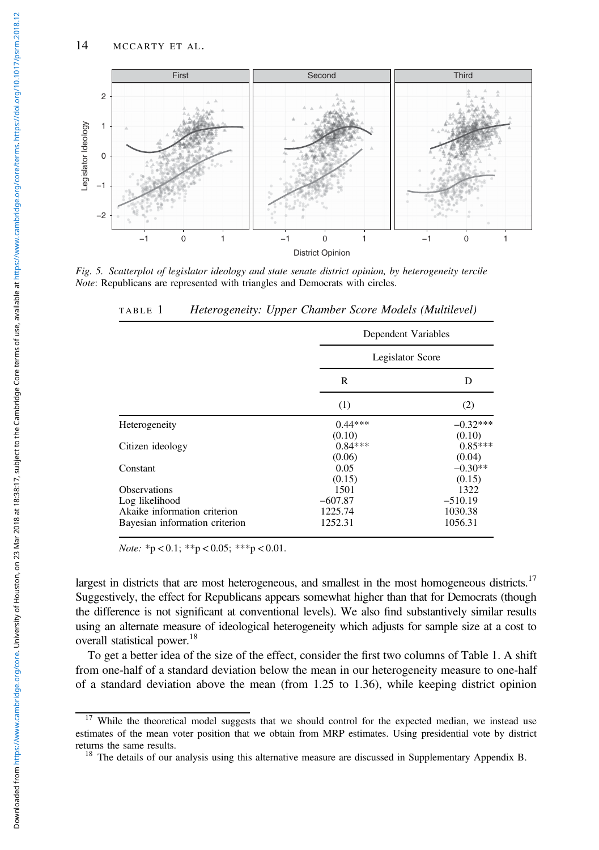<span id="page-13-0"></span>

Fig. 5. Scatterplot of legislator ideology and state senate district opinion, by heterogeneity tercile Note: Republicans are represented with triangles and Democrats with circles.

|                                                                |                             | Dependent Variables<br>Legislator Score |  |
|----------------------------------------------------------------|-----------------------------|-----------------------------------------|--|
|                                                                |                             |                                         |  |
|                                                                | R                           | D                                       |  |
|                                                                | (1)                         | (2)                                     |  |
| Heterogeneity                                                  | $0.44***$<br>(0.10)         | $-0.32***$<br>(0.10)                    |  |
| Citizen ideology                                               | $0.84***$                   | $0.85***$                               |  |
| Constant                                                       | (0.06)<br>0.05              | (0.04)<br>$-0.30**$                     |  |
| <b>Observations</b><br>Log likelihood                          | (0.15)<br>1501<br>$-607.87$ | (0.15)<br>1322<br>$-510.19$             |  |
| Akaike information criterion<br>Bayesian information criterion | 1225.74<br>1252.31          | 1030.38<br>1056.31                      |  |

TABLE 1 Heterogeneity: Upper Chamber Score Models (Multilevel)

Note: \*p < 0.1; \*\*p < 0.05; \*\*\*p < 0.01.

largest in districts that are most heterogeneous, and smallest in the most homogeneous districts.<sup>17</sup> Suggestively, the effect for Republicans appears somewhat higher than that for Democrats (though the difference is not significant at conventional levels). We also find substantively similar results using an alternate measure of ideological heterogeneity which adjusts for sample size at a cost to overall statistical power.<sup>18</sup>

To get a better idea of the size of the effect, consider the first two columns of Table 1. A shift from one-half of a standard deviation below the mean in our heterogeneity measure to one-half of a standard deviation above the mean (from 1.25 to 1.36), while keeping district opinion

<sup>&</sup>lt;sup>17</sup> While the theoretical model suggests that we should control for the expected median, we instead use estimates of the mean voter position that we obtain from MRP estimates. Using presidential vote by district

 $18$  The details of our analysis using this alternative measure are discussed in Supplementary Appendix B.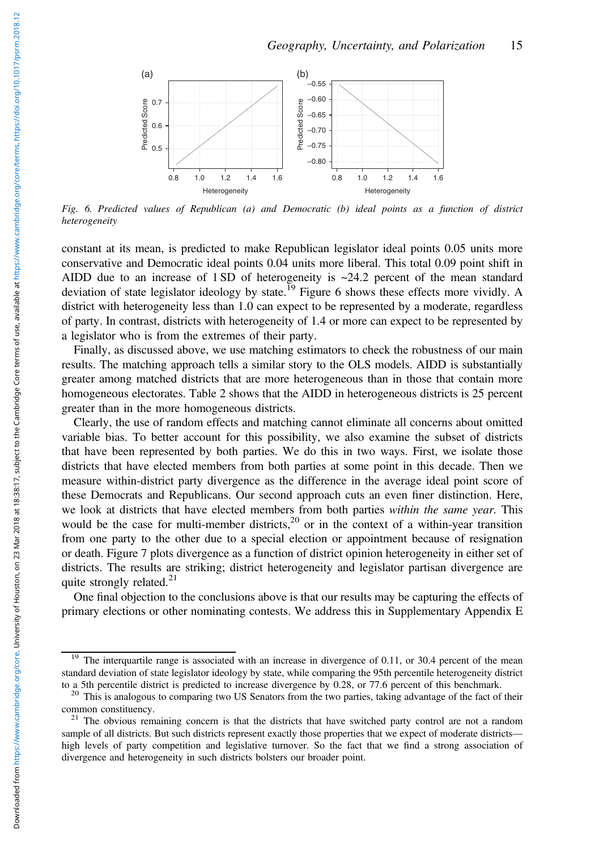

Fig. 6. Predicted values of Republican (a) and Democratic (b) ideal points as a function of district heterogeneity

constant at its mean, is predicted to make Republican legislator ideal points 0.05 units more conservative and Democratic ideal points 0.04 units more liberal. This total 0.09 point shift in AIDD due to an increase of 1 SD of heterogeneity is  $\sim$ 24.2 percent of the mean standard deviation of state legislator ideology by state.<sup>19</sup> Figure 6 shows these effects more vividly. A district with heterogeneity less than 1.0 can expect to be represented by a moderate, regardless of party. In contrast, districts with heterogeneity of 1.4 or more can expect to be represented by a legislator who is from the extremes of their party.

Finally, as discussed above, we use matching estimators to check the robustness of our main results. The matching approach tells a similar story to the OLS models. AIDD is substantially greater among matched districts that are more heterogeneous than in those that contain more homogeneous electorates. [Table 2](#page-15-0) shows that the AIDD in heterogeneous districts is 25 percent greater than in the more homogeneous districts.

Clearly, the use of random effects and matching cannot eliminate all concerns about omitted variable bias. To better account for this possibility, we also examine the subset of districts that have been represented by both parties. We do this in two ways. First, we isolate those districts that have elected members from both parties at some point in this decade. Then we measure within-district party divergence as the difference in the average ideal point score of these Democrats and Republicans. Our second approach cuts an even finer distinction. Here, we look at districts that have elected members from both parties within the same year. This would be the case for multi-member districts,<sup>20</sup> or in the context of a within-year transition from one party to the other due to a special election or appointment because of resignation or death. [Figure 7](#page-15-0) plots divergence as a function of district opinion heterogeneity in either set of districts. The results are striking; district heterogeneity and legislator partisan divergence are quite strongly related. $^{21}$ 

One final objection to the conclusions above is that our results may be capturing the effects of primary elections or other nominating contests. We address this in Supplementary Appendix E

<sup>&</sup>lt;sup>19</sup> The interquartile range is associated with an increase in divergence of 0.11, or 30.4 percent of the mean standard deviation of state legislator ideology by state, while comparing the 95th percentile heterogeneity district to a 5th percentile district is predicted to increase divergence by 0.28, or 77.6 percent of this benchma

<sup>&</sup>lt;sup>20</sup> This is analogous to comparing two US Senators from the two parties, taking advantage of the fact of their common constituency.

 $2<sup>1</sup>$  The obvious remaining concern is that the districts that have switched party control are not a random sample of all districts. But such districts represent exactly those properties that we expect of moderate districts high levels of party competition and legislative turnover. So the fact that we find a strong association of divergence and heterogeneity in such districts bolsters our broader point.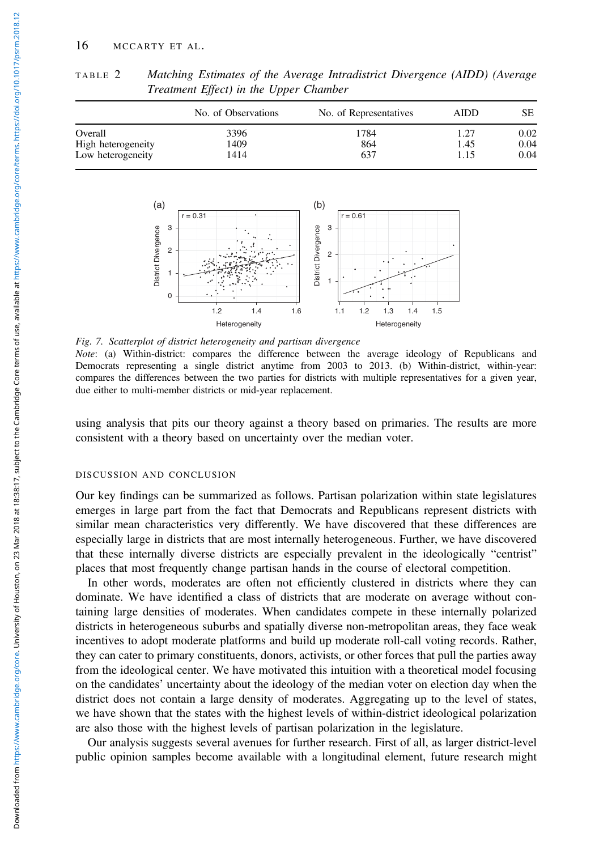|                    | No. of Observations | No. of Representatives | <b>AIDD</b> | SE   |
|--------------------|---------------------|------------------------|-------------|------|
| Overall            | 3396                | 1784                   |             | 0.02 |
| High heterogeneity | 1409                | 864                    | 1.45        | 0.04 |
| Low heterogeneity  | 1414                | 637                    | 1.15        | 0.04 |

<span id="page-15-0"></span>TABLE 2 Matching Estimates of the Average Intradistrict Divergence (AIDD) (Average Treatment Effect) in the Upper Chamber



Fig. 7. Scatterplot of district heterogeneity and partisan divergence

Note: (a) Within-district: compares the difference between the average ideology of Republicans and Democrats representing a single district anytime from 2003 to 2013. (b) Within-district, within-year: compares the differences between the two parties for districts with multiple representatives for a given year, due either to multi-member districts or mid-year replacement.

using analysis that pits our theory against a theory based on primaries. The results are more consistent with a theory based on uncertainty over the median voter.

#### DISCUSSION AND CONCLUSION

Our key findings can be summarized as follows. Partisan polarization within state legislatures emerges in large part from the fact that Democrats and Republicans represent districts with similar mean characteristics very differently. We have discovered that these differences are especially large in districts that are most internally heterogeneous. Further, we have discovered that these internally diverse districts are especially prevalent in the ideologically "centrist" places that most frequently change partisan hands in the course of electoral competition.

In other words, moderates are often not efficiently clustered in districts where they can dominate. We have identified a class of districts that are moderate on average without containing large densities of moderates. When candidates compete in these internally polarized districts in heterogeneous suburbs and spatially diverse non-metropolitan areas, they face weak incentives to adopt moderate platforms and build up moderate roll-call voting records. Rather, they can cater to primary constituents, donors, activists, or other forces that pull the parties away from the ideological center. We have motivated this intuition with a theoretical model focusing on the candidates' uncertainty about the ideology of the median voter on election day when the district does not contain a large density of moderates. Aggregating up to the level of states, we have shown that the states with the highest levels of within-district ideological polarization are also those with the highest levels of partisan polarization in the legislature.

Our analysis suggests several avenues for further research. First of all, as larger district-level public opinion samples become available with a longitudinal element, future research might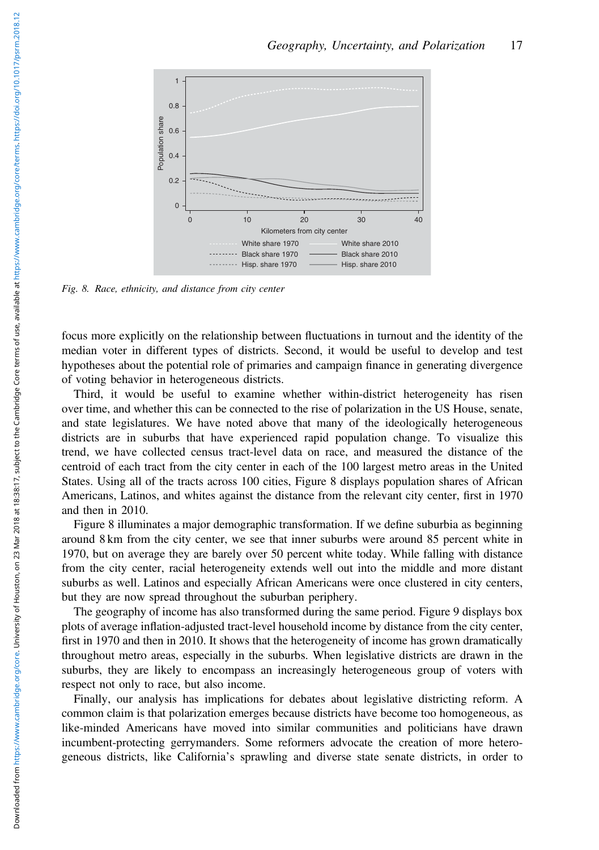

Fig. 8. Race, ethnicity, and distance from city center

focus more explicitly on the relationship between fluctuations in turnout and the identity of the median voter in different types of districts. Second, it would be useful to develop and test hypotheses about the potential role of primaries and campaign finance in generating divergence of voting behavior in heterogeneous districts.

Third, it would be useful to examine whether within-district heterogeneity has risen over time, and whether this can be connected to the rise of polarization in the US House, senate, and state legislatures. We have noted above that many of the ideologically heterogeneous districts are in suburbs that have experienced rapid population change. To visualize this trend, we have collected census tract-level data on race, and measured the distance of the centroid of each tract from the city center in each of the 100 largest metro areas in the United States. Using all of the tracts across 100 cities, Figure 8 displays population shares of African Americans, Latinos, and whites against the distance from the relevant city center, first in 1970 and then in 2010.

Figure 8 illuminates a major demographic transformation. If we define suburbia as beginning around 8 km from the city center, we see that inner suburbs were around 85 percent white in 1970, but on average they are barely over 50 percent white today. While falling with distance from the city center, racial heterogeneity extends well out into the middle and more distant suburbs as well. Latinos and especially African Americans were once clustered in city centers, but they are now spread throughout the suburban periphery.

The geography of income has also transformed during the same period. [Figure 9](#page-17-0) displays box plots of average inflation-adjusted tract-level household income by distance from the city center, first in 1970 and then in 2010. It shows that the heterogeneity of income has grown dramatically throughout metro areas, especially in the suburbs. When legislative districts are drawn in the suburbs, they are likely to encompass an increasingly heterogeneous group of voters with respect not only to race, but also income.

Finally, our analysis has implications for debates about legislative districting reform. A common claim is that polarization emerges because districts have become too homogeneous, as like-minded Americans have moved into similar communities and politicians have drawn incumbent-protecting gerrymanders. Some reformers advocate the creation of more heterogeneous districts, like California's sprawling and diverse state senate districts, in order to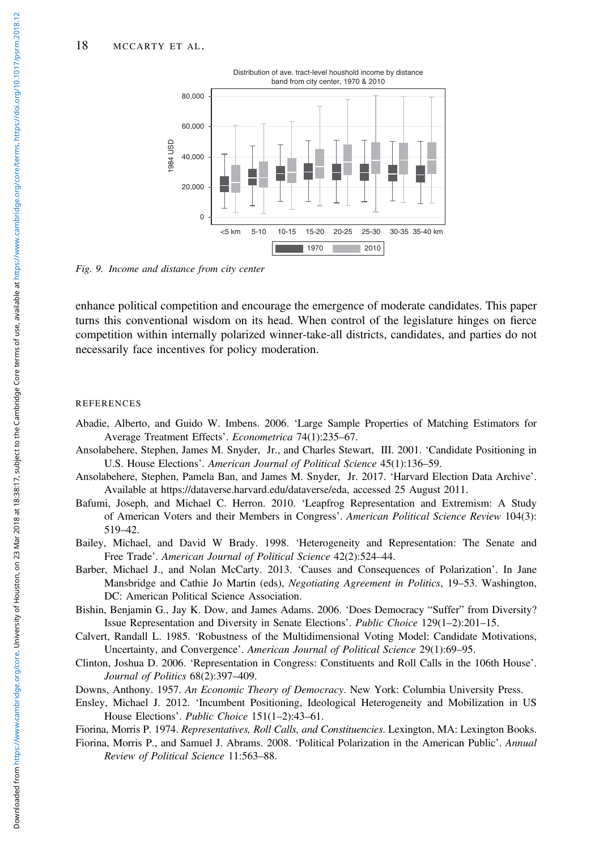<span id="page-17-0"></span>

Fig. 9. Income and distance from city center

enhance political competition and encourage the emergence of moderate candidates. This paper turns this conventional wisdom on its head. When control of the legislature hinges on fierce competition within internally polarized winner-take-all districts, candidates, and parties do not necessarily face incentives for policy moderation.

#### REFERENCES

- Abadie, Alberto, and Guido W. Imbens. 2006. 'Large Sample Properties of Matching Estimators for Average Treatment Effects'. Econometrica 74(1):235–67.
- Ansolabehere, Stephen, James M. Snyder, Jr., and Charles Stewart, III. 2001. 'Candidate Positioning in U.S. House Elections'. American Journal of Political Science 45(1):136–59.
- Ansolabehere, Stephen, Pamela Ban, and James M. Snyder, Jr. 2017. 'Harvard Election Data Archive'. Available at [https://dataverse.harvard.edu/dataverse/eda,](https://dataverse.harvard.edu/dataverse/eda) accessed 25 August 2011.
- Bafumi, Joseph, and Michael C. Herron. 2010. 'Leapfrog Representation and Extremism: A Study of American Voters and their Members in Congress'. American Political Science Review 104(3): 519–42.

Bailey, Michael, and David W Brady. 1998. 'Heterogeneity and Representation: The Senate and Free Trade'. American Journal of Political Science 42(2):524–44.

- Barber, Michael J., and Nolan McCarty. 2013. 'Causes and Consequences of Polarization'. In Jane Mansbridge and Cathie Jo Martin (eds), Negotiating Agreement in Politics, 19–53. Washington, DC: American Political Science Association.
- Bishin, Benjamin G., Jay K. Dow, and James Adams. 2006. 'Does Democracy "Suffer" from Diversity? Issue Representation and Diversity in Senate Elections'. Public Choice 129(1–2):201–15.

Calvert, Randall L. 1985. 'Robustness of the Multidimensional Voting Model: Candidate Motivations, Uncertainty, and Convergence'. American Journal of Political Science 29(1):69–95.

- Clinton, Joshua D. 2006. 'Representation in Congress: Constituents and Roll Calls in the 106th House'. Journal of Politics 68(2):397–409.
- Downs, Anthony. 1957. An Economic Theory of Democracy. New York: Columbia University Press.
- Ensley, Michael J. 2012. 'Incumbent Positioning, Ideological Heterogeneity and Mobilization in US House Elections'. Public Choice 151(1–2):43–61.

Fiorina, Morris P. 1974. Representatives, Roll Calls, and Constituencies. Lexington, MA: Lexington Books.

Fiorina, Morris P., and Samuel J. Abrams. 2008. 'Political Polarization in the American Public'. Annual Review of Political Science 11:563–88.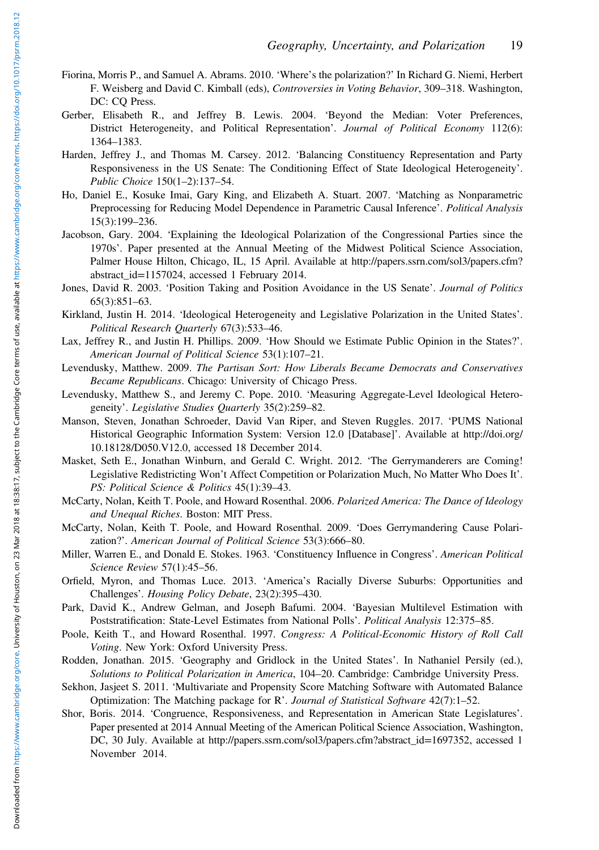- <span id="page-18-0"></span>Fiorina, Morris P., and Samuel A. Abrams. 2010. 'Where's the polarization?' In Richard G. Niemi, Herbert F. Weisberg and David C. Kimball (eds), Controversies in Voting Behavior, 309–318. Washington, DC: CQ Press.
- Gerber, Elisabeth R., and Jeffrey B. Lewis. 2004. 'Beyond the Median: Voter Preferences, District Heterogeneity, and Political Representation'. Journal of Political Economy 112(6): 1364–1383.
- Harden, Jeffrey J., and Thomas M. Carsey. 2012. 'Balancing Constituency Representation and Party Responsiveness in the US Senate: The Conditioning Effect of State Ideological Heterogeneity'. Public Choice 150(1–2):137–54.
- Ho, Daniel E., Kosuke Imai, Gary King, and Elizabeth A. Stuart. 2007. 'Matching as Nonparametric Preprocessing for Reducing Model Dependence in Parametric Causal Inference'. Political Analysis 15(3):199–236.
- Jacobson, Gary. 2004. 'Explaining the Ideological Polarization of the Congressional Parties since the 1970s'. Paper presented at the Annual Meeting of the Midwest Political Science Association, Palmer House Hilton, Chicago, IL, 15 April. Available a[t http://papers.ssrn.com/sol3/papers.cfm?]( http://papers.ssrn.com/sol3/papers.cfm?abstract_id=1157024) [abstract\\_id]( http://papers.ssrn.com/sol3/papers.cfm?abstract_id=1157024)=1157024, accessed 1 February 2014.
- Jones, David R. 2003. 'Position Taking and Position Avoidance in the US Senate'. Journal of Politics 65(3):851–63.
- Kirkland, Justin H. 2014. 'Ideological Heterogeneity and Legislative Polarization in the United States'. Political Research Quarterly 67(3):533–46.
- Lax, Jeffrey R., and Justin H. Phillips. 2009. 'How Should we Estimate Public Opinion in the States?'. American Journal of Political Science 53(1):107–21.
- Levendusky, Matthew. 2009. The Partisan Sort: How Liberals Became Democrats and Conservatives Became Republicans. Chicago: University of Chicago Press.
- Levendusky, Matthew S., and Jeremy C. Pope. 2010. 'Measuring Aggregate-Level Ideological Heterogeneity'. Legislative Studies Quarterly 35(2):259–82.
- Manson, Steven, Jonathan Schroeder, David Van Riper, and Steven Ruggles. 2017. 'PUMS National Historical Geographic Information System: Version 12.0 [Database]'. Available at [http://doi.org/](http://doi.org/10.18128/D050.V12.0) [10.18128/D050.V12.0,](http://doi.org/10.18128/D050.V12.0) accessed 18 December 2014.
- Masket, Seth E., Jonathan Winburn, and Gerald C. Wright. 2012. 'The Gerrymanderers are Coming! Legislative Redistricting Won't Affect Competition or Polarization Much, No Matter Who Does It'. PS: Political Science & Politics 45(1):39–43.
- McCarty, Nolan, Keith T. Poole, and Howard Rosenthal. 2006. Polarized America: The Dance of Ideology and Unequal Riches. Boston: MIT Press.
- McCarty, Nolan, Keith T. Poole, and Howard Rosenthal. 2009. 'Does Gerrymandering Cause Polarization?'. American Journal of Political Science 53(3):666–80.
- Miller, Warren E., and Donald E. Stokes. 1963. 'Constituency Influence in Congress'. American Political Science Review 57(1):45–56.
- Orfield, Myron, and Thomas Luce. 2013. 'America's Racially Diverse Suburbs: Opportunities and Challenges'. Housing Policy Debate, 23(2):395–430.
- Park, David K., Andrew Gelman, and Joseph Bafumi. 2004. 'Bayesian Multilevel Estimation with Poststratification: State-Level Estimates from National Polls'. Political Analysis 12:375–85.
- Poole, Keith T., and Howard Rosenthal. 1997. Congress: A Political-Economic History of Roll Call Voting. New York: Oxford University Press.
- Rodden, Jonathan. 2015. 'Geography and Gridlock in the United States'. In Nathaniel Persily (ed.), Solutions to Political Polarization in America, 104–20. Cambridge: Cambridge University Press.
- Sekhon, Jasjeet S. 2011. 'Multivariate and Propensity Score Matching Software with Automated Balance Optimization: The Matching package for R'. Journal of Statistical Software 42(7):1–52.
- Shor, Boris. 2014. 'Congruence, Responsiveness, and Representation in American State Legislatures'. Paper presented at 2014 Annual Meeting of the American Political Science Association, Washington, DC, 30 July. Available at [http://papers.ssrn.com/sol3/papers.cfm?abstract\\_id](http://papers.ssrn.com/sol3/papers.cfm?abstract_id=1697352)=1697352, accessed 1 November 2014.